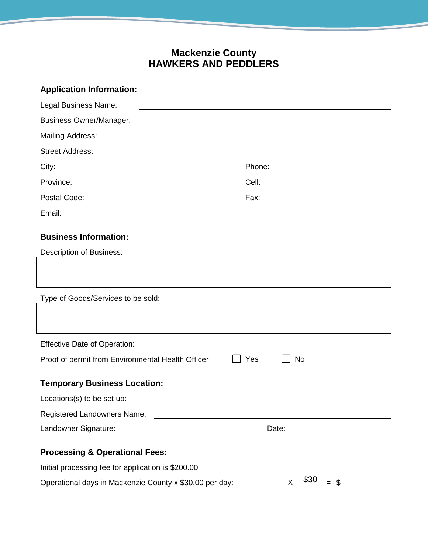## **Mackenzie County HAWKERS AND PEDDLERS**

| <b>Application Information:</b><br>Legal Business Name:<br><b>Business Owner/Manager:</b>                                                      |                                                                 |  |                         |                                                             |
|------------------------------------------------------------------------------------------------------------------------------------------------|-----------------------------------------------------------------|--|-------------------------|-------------------------------------------------------------|
|                                                                                                                                                |                                                                 |  | <b>Mailing Address:</b> | <u> 1989 - Johann Stoff, amerikansk politiker (d. 1989)</u> |
|                                                                                                                                                |                                                                 |  | <b>Street Address:</b>  |                                                             |
| City:                                                                                                                                          | Phone:                                                          |  |                         |                                                             |
| Province:<br><u> 1989 - Johann Stoff, deutscher Stoffen und der Stoffen und der Stoffen und der Stoffen und der Stoffen und der </u>           | Cell:                                                           |  |                         |                                                             |
| Postal Code:                                                                                                                                   | Fax:<br><u> 1989 - Johann Barbara, martin amerikan basar da</u> |  |                         |                                                             |
| Email:                                                                                                                                         |                                                                 |  |                         |                                                             |
| <b>Business Information:</b>                                                                                                                   |                                                                 |  |                         |                                                             |
| <b>Description of Business:</b>                                                                                                                |                                                                 |  |                         |                                                             |
|                                                                                                                                                |                                                                 |  |                         |                                                             |
| Type of Goods/Services to be sold:                                                                                                             |                                                                 |  |                         |                                                             |
|                                                                                                                                                |                                                                 |  |                         |                                                             |
| <u> 1989 - Johann Barbara, martin a</u><br><b>Effective Date of Operation:</b>                                                                 |                                                                 |  |                         |                                                             |
| <b>No</b><br>Proof of permit from Environmental Health Officer<br>Yes                                                                          |                                                                 |  |                         |                                                             |
| <b>Temporary Business Location:</b>                                                                                                            |                                                                 |  |                         |                                                             |
| Locations(s) to be set up:                                                                                                                     |                                                                 |  |                         |                                                             |
|                                                                                                                                                |                                                                 |  |                         |                                                             |
| Landowner Signature:<br><u> 2008 - Johann Stoff, deutscher Stoffen und der Stoffen und der Stoffen und der Stoffen und der Stoffen und der</u> | Date:                                                           |  |                         |                                                             |
| <b>Processing &amp; Operational Fees:</b>                                                                                                      |                                                                 |  |                         |                                                             |
| Initial processing fee for application is \$200.00                                                                                             |                                                                 |  |                         |                                                             |
| \$30<br>Operational days in Mackenzie County x \$30.00 per day:<br>X<br>$=$ \$                                                                 |                                                                 |  |                         |                                                             |